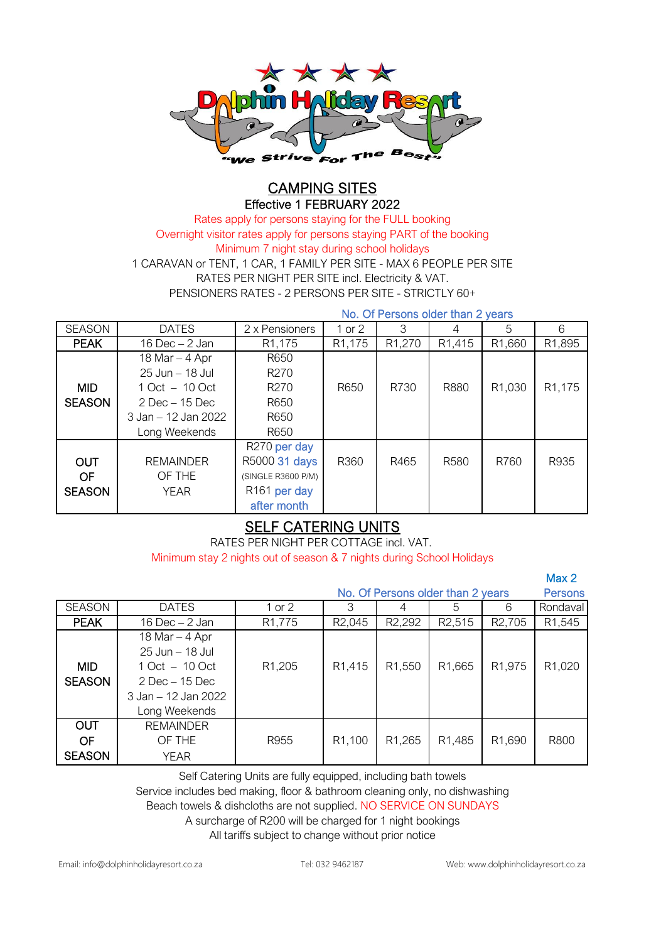

### CAMPING SITES Effective 1 FEBRUARY 2022

PENSIONERS RATES - 2 PERSONS PER SITE - STRICTLY 60+ Rates apply for persons staying for the FULL booking Overnight visitor rates apply for persons staying PART of the booking RATES PER NIGHT PER SITE incl. Electricity & VAT. 1 CARAVAN or TENT, 1 CAR, 1 FAMILY PER SITE - MAX 6 PEOPLE PER SITE Minimum 7 night stay during school holidays

No. Of Persons older than 2 years

| <b>SEASON</b> | <b>DATES</b>        | 2 x Pensioners           | $1$ or $2$          | 3                   | 4                   | 5                   | 6                   |
|---------------|---------------------|--------------------------|---------------------|---------------------|---------------------|---------------------|---------------------|
|               |                     |                          |                     |                     |                     |                     |                     |
| <b>PEAK</b>   | 16 Dec $-2$ Jan     | R <sub>1</sub> ,175      | R <sub>1</sub> ,175 | R <sub>1</sub> ,270 | R <sub>1</sub> ,415 | R <sub>1</sub> ,660 | R <sub>1</sub> ,895 |
|               | 18 Mar $-$ 4 Apr    | R650                     |                     |                     |                     |                     |                     |
|               | 25 Jun - 18 Jul     | R <sub>270</sub>         |                     |                     |                     |                     |                     |
| <b>MID</b>    | $1 Oct - 10 Oct$    | R <sub>270</sub>         | R650                | R730                | R880                | R <sub>1</sub> ,030 | R <sub>1</sub> ,175 |
| <b>SEASON</b> | $2$ Dec $-15$ Dec   | R650                     |                     |                     |                     |                     |                     |
|               | 3 Jan – 12 Jan 2022 | R650                     |                     |                     |                     |                     |                     |
|               | Long Weekends       | R650                     |                     |                     |                     |                     |                     |
|               |                     | R270 per day             |                     |                     |                     |                     |                     |
| <b>OUT</b>    | <b>REMAINDER</b>    | R5000 31 days            | R360                | R465                | R <sub>580</sub>    | R760                | R935                |
| <b>OF</b>     | OF THE              | (SINGLE R3600 P/M)       |                     |                     |                     |                     |                     |
| <b>SEASON</b> | <b>YEAR</b>         | R <sub>161</sub> per day |                     |                     |                     |                     |                     |
|               |                     | after month              |                     |                     |                     |                     |                     |

## SELF CATERING UNITS

RATES PER NIGHT PER COTTAGE incl. VAT.

Minimum stay 2 nights out of season & 7 nights during School Holidays

|               |                     |                     |                                   |                     |                     |                     | Max <sub>2</sub>    |
|---------------|---------------------|---------------------|-----------------------------------|---------------------|---------------------|---------------------|---------------------|
|               |                     |                     | No. Of Persons older than 2 years |                     |                     |                     | <b>Persons</b>      |
| <b>SEASON</b> | <b>DATES</b>        | 1 or 2              | 3                                 |                     | 5                   | 6                   | Rondaval            |
| <b>PEAK</b>   | 16 Dec $-2$ Jan     | R <sub>1</sub> ,775 | R <sub>2</sub> ,045               | R <sub>2</sub> ,292 | R <sub>2</sub> ,515 | R <sub>2</sub> ,705 | R <sub>1</sub> ,545 |
|               | 18 Mar $-$ 4 Apr    |                     |                                   |                     |                     |                     |                     |
|               | 25 Jun - 18 Jul     |                     |                                   |                     |                     |                     |                     |
| <b>MID</b>    | $1 Oct - 10 Oct$    | R <sub>1</sub> ,205 | R <sub>1</sub> ,415               | R1,550              | R1,665              | R <sub>1</sub> ,975 | R1,020              |
| <b>SEASON</b> | $2$ Dec $-15$ Dec   |                     |                                   |                     |                     |                     |                     |
|               | 3 Jan – 12 Jan 2022 |                     |                                   |                     |                     |                     |                     |
|               | Long Weekends       |                     |                                   |                     |                     |                     |                     |
| <b>OUT</b>    | <b>REMAINDER</b>    |                     |                                   |                     |                     |                     |                     |
| OF            | OF THE              | R955                | R1,100                            | R <sub>1</sub> ,265 | R1,485              | R <sub>1</sub> ,690 | R800                |
| <b>SEASON</b> | YEAR                |                     |                                   |                     |                     |                     |                     |

Self Catering Units are fully equipped, including bath towels

Service includes bed making, floor & bathroom cleaning only, no dishwashing

Beach towels & dishcloths are not supplied. NO SERVICE ON SUNDAYS

A surcharge of R200 will be charged for 1 night bookings

All tariffs subject to change without prior notice